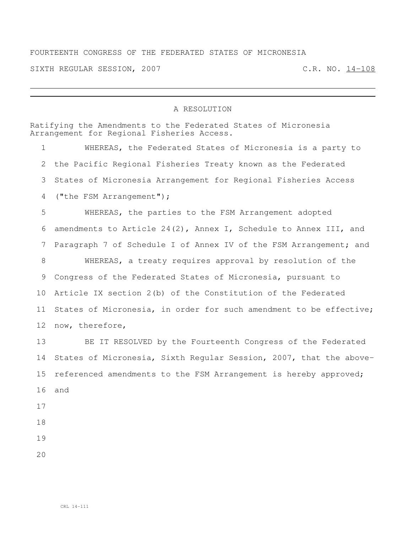## FOURTEENTH CONGRESS OF THE FEDERATED STATES OF MICRONESIA

SIXTH REGULAR SESSION, 2007 C.R. NO. 14-108

## A RESOLUTION

Ratifying the Amendments to the Federated States of Micronesia Arrangement for Regional Fisheries Access. WHEREAS, the Federated States of Micronesia is a party to the Pacific Regional Fisheries Treaty known as the Federated States of Micronesia Arrangement for Regional Fisheries Access ("the FSM Arrangement"); WHEREAS, the parties to the FSM Arrangement adopted amendments to Article 24(2), Annex I, Schedule to Annex III, and Paragraph 7 of Schedule I of Annex IV of the FSM Arrangement; and WHEREAS, a treaty requires approval by resolution of the Congress of the Federated States of Micronesia, pursuant to Article IX section 2(b) of the Constitution of the Federated States of Micronesia, in order for such amendment to be effective; now, therefore, BE IT RESOLVED by the Fourteenth Congress of the Federated States of Micronesia, Sixth Regular Session, 2007, that the above- referenced amendments to the FSM Arrangement is hereby approved; and

- 
- 
-